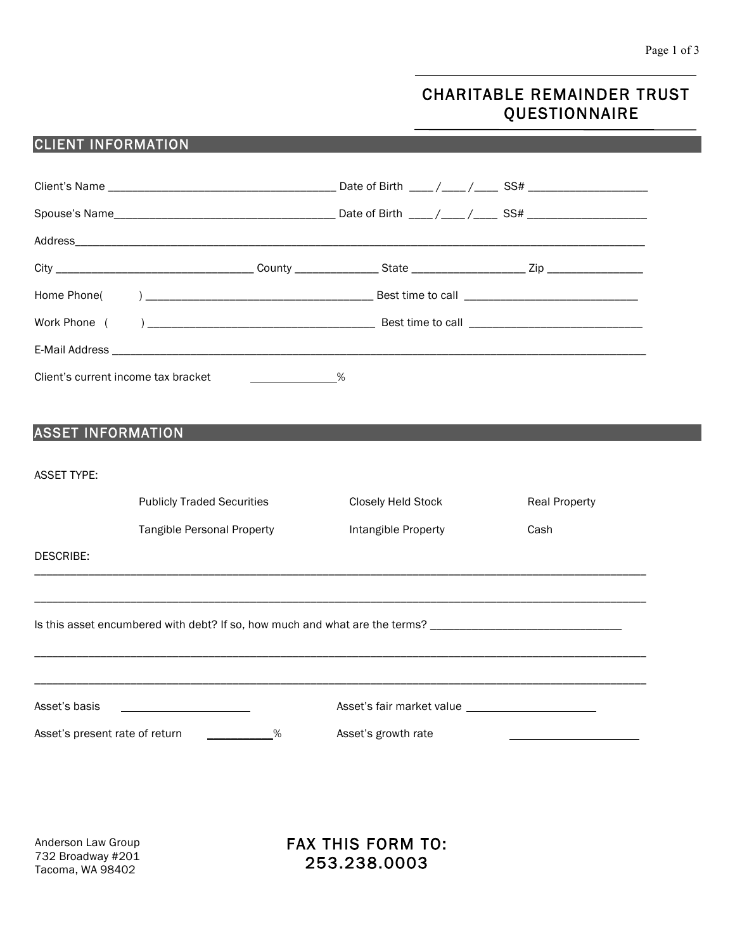# CHARITABLE REMAINDER TRUST QUESTIONNAIRE

## CLIENT INFORMATION

| Client's current income tax bracket   | $\sim$ $\sim$ $\sim$ $\sim$ $\sim$ |                                                                                                                |                      |
|---------------------------------------|------------------------------------|----------------------------------------------------------------------------------------------------------------|----------------------|
|                                       |                                    |                                                                                                                |                      |
| <b>ASSET INFORMATION</b>              |                                    |                                                                                                                |                      |
|                                       |                                    |                                                                                                                |                      |
| <b>ASSET TYPE:</b>                    |                                    |                                                                                                                |                      |
|                                       | <b>Publicly Traded Securities</b>  | Closely Held Stock                                                                                             | <b>Real Property</b> |
|                                       | <b>Tangible Personal Property</b>  | Intangible Property                                                                                            | Cash                 |
| <b>DESCRIBE:</b>                      |                                    |                                                                                                                |                      |
|                                       |                                    |                                                                                                                |                      |
|                                       |                                    | Is this asset encumbered with debt? If so, how much and what are the terms? __________________________________ |                      |
|                                       |                                    |                                                                                                                |                      |
|                                       |                                    |                                                                                                                |                      |
| Asset's basis                         |                                    | Asset's fair market value                                                                                      |                      |
| Asset's present rate of return<br>℅   |                                    | Asset's growth rate                                                                                            |                      |
|                                       |                                    |                                                                                                                |                      |
|                                       |                                    |                                                                                                                |                      |
|                                       |                                    |                                                                                                                |                      |
| Anderson Law Group                    |                                    | <b>FAX THIS FORM TO:</b>                                                                                       |                      |
| 732 Broadway #201<br>Tacoma, WA 98402 |                                    | 253.238.0003                                                                                                   |                      |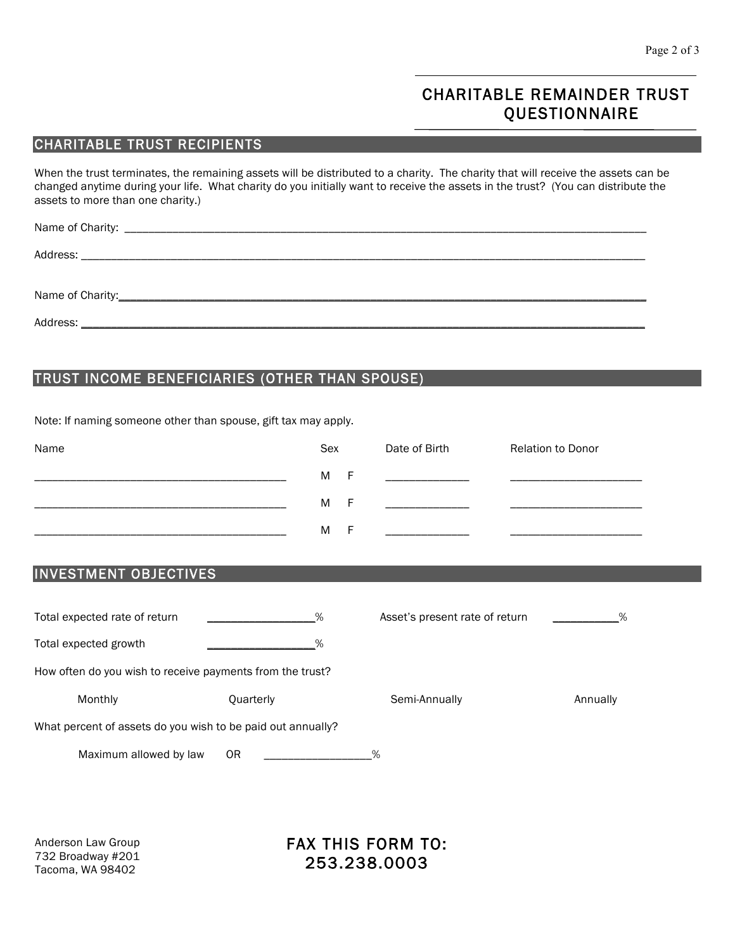# CHARITABLE REMAINDER TRUST **QUESTIONNAIRE**

#### CHARITABLE TRUST RECIPIENTS

When the trust terminates, the remaining assets will be distributed to a charity. The charity that will receive the assets can be changed anytime during your life. What charity do you initially want to receive the assets in the trust? (You can distribute the assets to more than one charity.)

Name of Charity: \_\_\_\_\_\_\_\_\_\_\_\_\_\_\_\_\_\_\_\_\_\_\_\_\_\_\_\_\_\_\_\_\_\_\_\_\_\_\_\_\_\_\_\_\_\_\_\_\_\_\_\_\_\_\_\_\_\_\_\_\_\_\_\_\_\_\_\_\_\_\_\_\_\_\_\_\_\_\_\_\_\_\_\_\_\_\_

Address: \_\_\_\_\_\_\_\_\_\_\_\_\_\_\_\_\_\_\_\_\_\_\_\_\_\_\_\_\_\_\_\_\_\_\_\_\_\_\_\_\_\_\_\_\_\_\_\_\_\_\_\_\_\_\_\_\_\_\_\_\_\_\_\_\_\_\_\_\_\_\_\_\_\_\_\_\_\_\_\_\_\_\_\_\_\_\_\_\_\_\_\_\_\_

Name of Charity:\_\_\_\_\_\_\_\_\_\_\_\_\_\_\_\_\_\_\_\_\_\_\_\_\_\_\_\_\_\_\_\_\_\_\_\_\_\_\_\_\_\_\_\_\_\_\_\_\_\_\_\_\_\_\_\_\_\_\_\_\_\_\_\_\_\_\_\_\_\_\_\_\_\_\_\_\_\_\_\_\_\_\_\_\_\_\_\_

Address: \_\_\_\_\_\_\_\_\_\_\_\_\_\_\_\_\_\_\_\_\_\_\_\_\_\_\_\_\_\_\_\_\_\_\_\_\_\_\_\_\_\_\_\_\_\_\_\_\_\_\_\_\_\_\_\_\_\_\_\_\_\_\_\_\_\_\_\_\_\_\_\_\_\_\_\_\_\_\_\_\_\_\_\_\_\_\_\_\_\_\_\_\_\_

### TRUST INCOME BENEFICIARIES (OTHER THAN SPOUSE)

Note: If naming someone other than spouse, gift tax may apply.

| Name | Sex |   | Date of Birth | <b>Relation to Donor</b> |
|------|-----|---|---------------|--------------------------|
|      | M   | F |               |                          |
|      | M   | F |               |                          |
|      | M   | F |               |                          |

#### INVESTMENT OBJECTIVES

| Total expected rate of return                               | %         | Asset's present rate of return | %        |  |  |  |  |
|-------------------------------------------------------------|-----------|--------------------------------|----------|--|--|--|--|
| Total expected growth                                       | %         |                                |          |  |  |  |  |
| How often do you wish to receive payments from the trust?   |           |                                |          |  |  |  |  |
| Monthly                                                     | Quarterly | Semi-Annually                  | Annually |  |  |  |  |
| What percent of assets do you wish to be paid out annually? |           |                                |          |  |  |  |  |
| Maximum allowed by law                                      | ΟR        | %                              |          |  |  |  |  |

Anderson Law Group 732 Broadway #201 Tacoma, WA 98402

## FAX THIS FORM TO: 253.238.0003